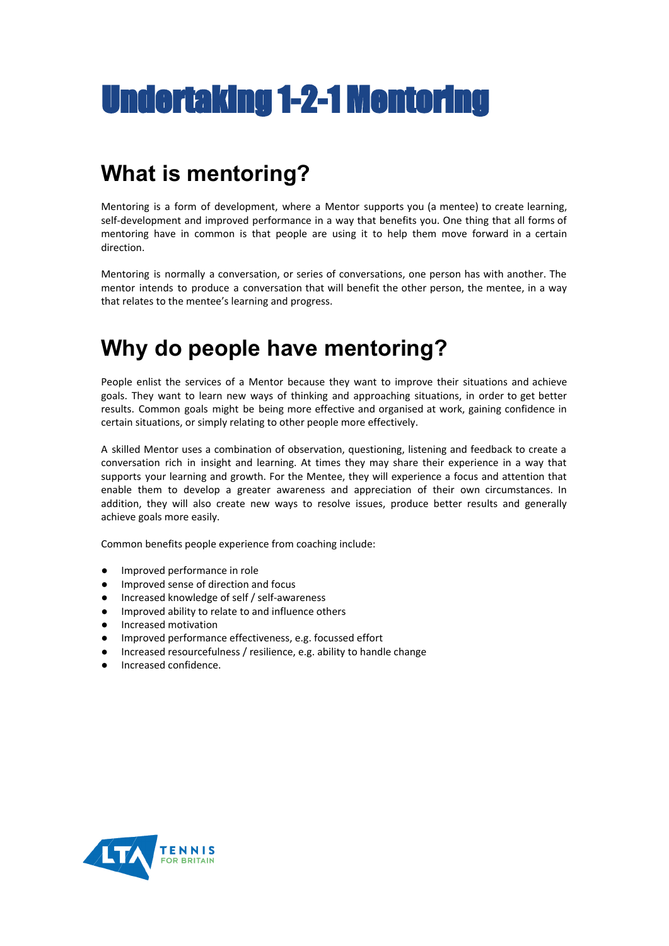# Undertaking 1-2-1 Mentoring

## **What is mentoring?**

Mentoring is a form of development, where a Mentor supports you (a mentee) to create learning, self-development and improved performance in a way that benefits you. One thing that all forms of mentoring have in common is that people are using it to help them move forward in a certain direction.

Mentoring is normally a conversation, or series of conversations, one person has with another. The mentor intends to produce a conversation that will benefit the other person, the mentee, in a way that relates to the mentee's learning and progress.

## **Why do people have mentoring?**

People enlist the services of a Mentor because they want to improve their situations and achieve goals. They want to learn new ways of thinking and approaching situations, in order to get better results. Common goals might be being more effective and organised at work, gaining confidence in certain situations, or simply relating to other people more effectively.

A skilled Mentor uses a combination of observation, questioning, listening and feedback to create a conversation rich in insight and learning. At times they may share their experience in a way that supports your learning and growth. For the Mentee, they will experience a focus and attention that enable them to develop a greater awareness and appreciation of their own circumstances. In addition, they will also create new ways to resolve issues, produce better results and generally achieve goals more easily.

Common benefits people experience from coaching include:

- Improved performance in role
- Improved sense of direction and focus
- Increased knowledge of self / self-awareness
- Improved ability to relate to and influence others
- Increased motivation
- Improved performance effectiveness, e.g. focussed effort
- Increased resourcefulness / resilience, e.g. ability to handle change
- Increased confidence.

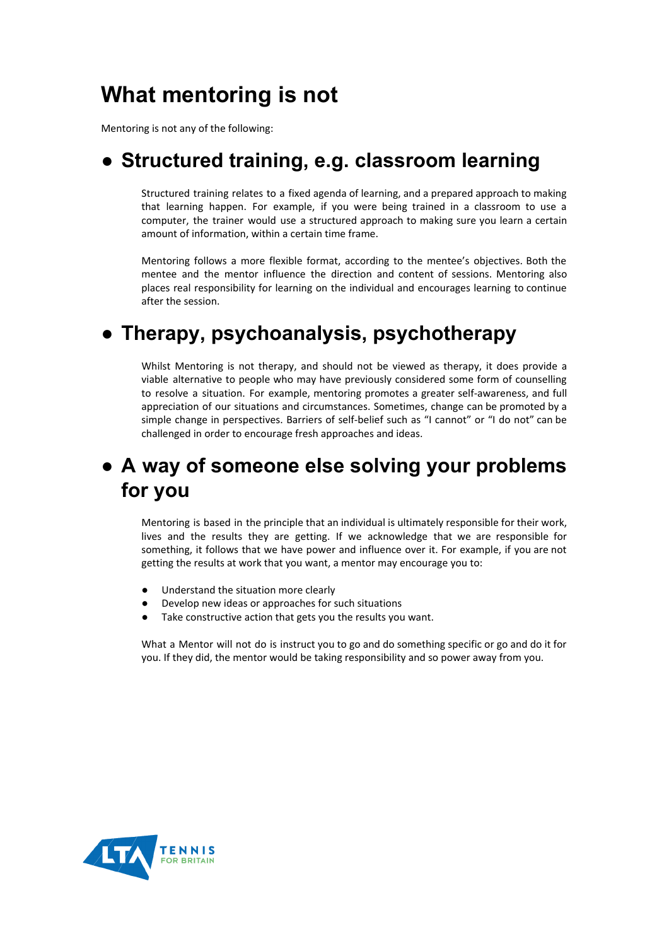# **What mentoring is not**

Mentoring is not any of the following:

#### ● **Structured training, e.g. classroom learning**

Structured training relates to a fixed agenda of learning, and a prepared approach to making that learning happen. For example, if you were being trained in a classroom to use a computer, the trainer would use a structured approach to making sure you learn a certain amount of information, within a certain time frame.

Mentoring follows a more flexible format, according to the mentee's objectives. Both the mentee and the mentor influence the direction and content of sessions. Mentoring also places real responsibility for learning on the individual and encourages learning to continue after the session.

#### ● **Therapy, psychoanalysis, psychotherapy**

Whilst Mentoring is not therapy, and should not be viewed as therapy, it does provide a viable alternative to people who may have previously considered some form of counselling to resolve a situation. For example, mentoring promotes a greater self-awareness, and full appreciation of our situations and circumstances. Sometimes, change can be promoted by a simple change in perspectives. Barriers of self-belief such as "I cannot" or "I do not" can be challenged in order to encourage fresh approaches and ideas.

### ● **A way of someone else solving your problems for you**

Mentoring is based in the principle that an individual is ultimately responsible for their work, lives and the results they are getting. If we acknowledge that we are responsible for something, it follows that we have power and influence over it. For example, if you are not getting the results at work that you want, a mentor may encourage you to:

- Understand the situation more clearly
- Develop new ideas or approaches for such situations
- Take constructive action that gets you the results you want.

What a Mentor will not do is instruct you to go and do something specific or go and do it for you. If they did, the mentor would be taking responsibility and so power away from you.

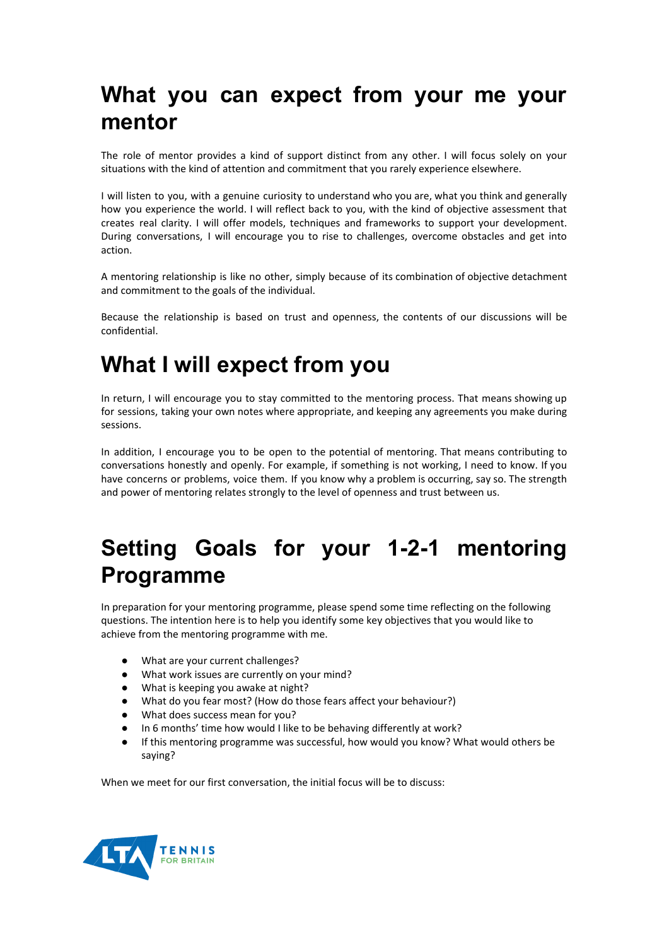## **What you can expect from your me your mentor**

The role of mentor provides a kind of support distinct from any other. I will focus solely on your situations with the kind of attention and commitment that you rarely experience elsewhere.

I will listen to you, with a genuine curiosity to understand who you are, what you think and generally how you experience the world. I will reflect back to you, with the kind of objective assessment that creates real clarity. I will offer models, techniques and frameworks to support your development. During conversations, I will encourage you to rise to challenges, overcome obstacles and get into action.

A mentoring relationship is like no other, simply because of its combination of objective detachment and commitment to the goals of the individual.

Because the relationship is based on trust and openness, the contents of our discussions will be confidential.

## **What I will expect from you**

In return, I will encourage you to stay committed to the mentoring process. That means showing up for sessions, taking your own notes where appropriate, and keeping any agreements you make during sessions.

In addition, I encourage you to be open to the potential of mentoring. That means contributing to conversations honestly and openly. For example, if something is not working, I need to know. If you have concerns or problems, voice them. If you know why a problem is occurring, say so. The strength and power of mentoring relates strongly to the level of openness and trust between us.

# **Setting Goals for your 1-2-1 mentoring Programme**

In preparation for your mentoring programme, please spend some time reflecting on the following questions. The intention here is to help you identify some key objectives that you would like to achieve from the mentoring programme with me.

- What are your current challenges?
- What work issues are currently on your mind?
- What is keeping you awake at night?
- What do you fear most? (How do those fears affect your behaviour?)
- What does success mean for you?
- In 6 months' time how would I like to be behaving differently at work?
- If this mentoring programme was successful, how would you know? What would others be saying?

When we meet for our first conversation, the initial focus will be to discuss: